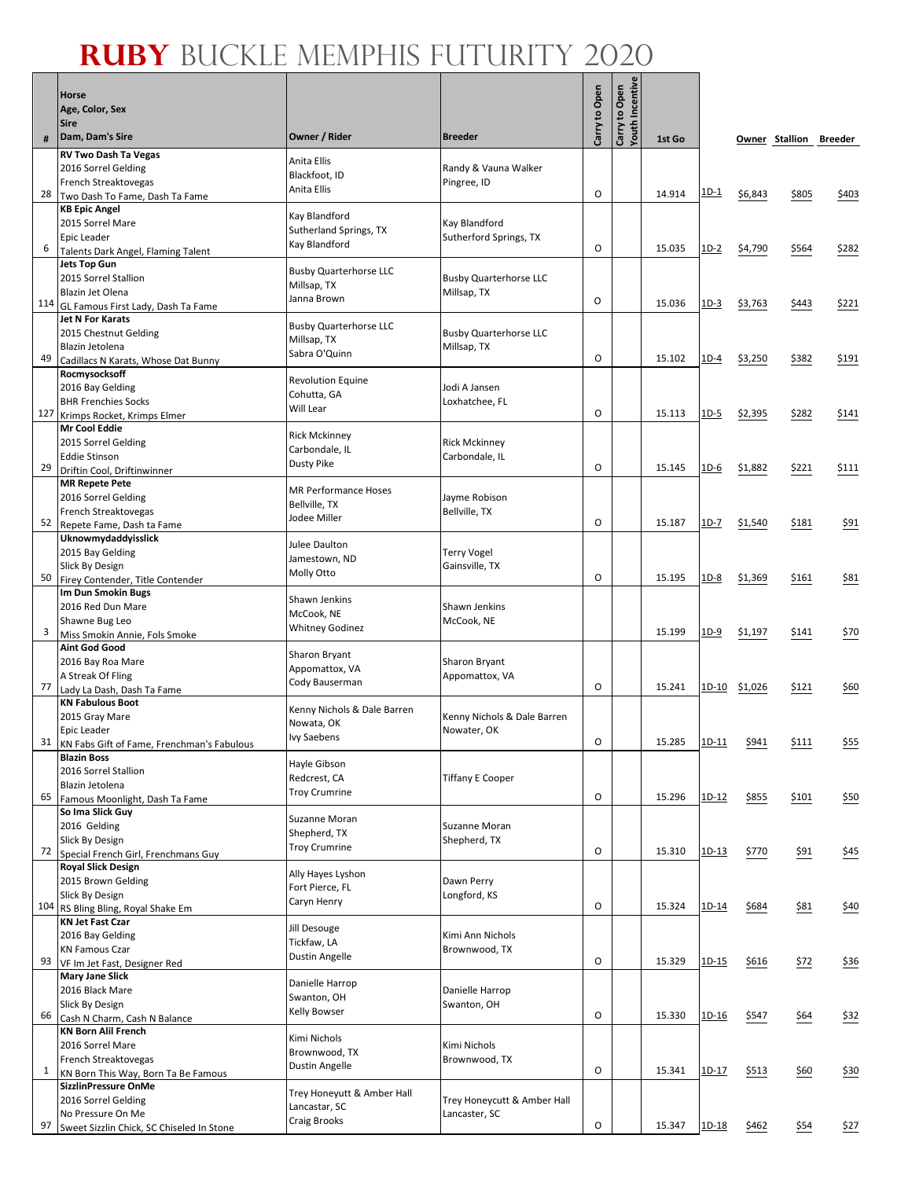Г ┱  $\overline{\phantom{a}}$ 

|     | <b>Horse</b>                                                       |                                             |                                         | Carry to Open | Youth Incentive<br>Carry to Open |        |             |         |                        |                 |
|-----|--------------------------------------------------------------------|---------------------------------------------|-----------------------------------------|---------------|----------------------------------|--------|-------------|---------|------------------------|-----------------|
|     | Age, Color, Sex<br><b>Sire</b>                                     |                                             |                                         |               |                                  |        |             |         |                        |                 |
| #   | Dam, Dam's Sire                                                    | Owner / Rider                               | <b>Breeder</b>                          |               |                                  | 1st Go |             |         | Owner Stallion Breeder |                 |
|     | <b>RV Two Dash Ta Vegas</b>                                        | Anita Ellis                                 |                                         |               |                                  |        |             |         |                        |                 |
|     | 2016 Sorrel Gelding<br>French Streaktovegas                        | Blackfoot, ID                               | Randy & Vauna Walker<br>Pingree, ID     |               |                                  |        |             |         |                        |                 |
| 28  | Two Dash To Fame, Dash Ta Fame                                     | Anita Ellis                                 |                                         | $\circ$       |                                  | 14.914 | $1D-1$      | \$6,843 | \$805                  | \$403           |
|     | <b>KB Epic Angel</b>                                               | Kay Blandford                               |                                         |               |                                  |        |             |         |                        |                 |
|     | 2015 Sorrel Mare<br>Epic Leader                                    | Sutherland Springs, TX                      | Kay Blandford<br>Sutherford Springs, TX |               |                                  |        |             |         |                        |                 |
| 6   | Talents Dark Angel, Flaming Talent                                 | Kay Blandford                               |                                         | $\circ$       |                                  | 15.035 | $1D-2$      | \$4,790 | \$564                  | \$282           |
|     | <b>Jets Top Gun</b>                                                | <b>Busby Quarterhorse LLC</b>               |                                         |               |                                  |        |             |         |                        |                 |
|     | 2015 Sorrel Stallion                                               | Millsap, TX                                 | <b>Busby Quarterhorse LLC</b>           |               |                                  |        |             |         |                        |                 |
|     | <b>Blazin Jet Olena</b><br>114 GL Famous First Lady, Dash Ta Fame  | Janna Brown                                 | Millsap, TX                             | O             |                                  | 15.036 | $1D-3$      | \$3,763 | \$443                  | \$221           |
|     | <b>Jet N For Karats</b>                                            | <b>Busby Quarterhorse LLC</b>               |                                         |               |                                  |        |             |         |                        |                 |
|     | 2015 Chestnut Gelding                                              | Millsap, TX                                 | <b>Busby Quarterhorse LLC</b>           |               |                                  |        |             |         |                        |                 |
| 49  | Blazin Jetolena<br>Cadillacs N Karats, Whose Dat Bunny             | Sabra O'Quinn                               | Millsap, TX                             | $\circ$       |                                  | 15.102 | $1D-4$      | \$3,250 | \$382                  | \$191           |
|     | Rocmysocksoff                                                      |                                             |                                         |               |                                  |        |             |         |                        |                 |
|     | 2016 Bay Gelding                                                   | <b>Revolution Equine</b><br>Cohutta, GA     | Jodi A Jansen                           |               |                                  |        |             |         |                        |                 |
|     | <b>BHR Frenchies Socks</b>                                         | Will Lear                                   | Loxhatchee, FL                          | 0             |                                  |        |             |         |                        |                 |
| 127 | Krimps Rocket, Krimps Elmer<br><b>Mr Cool Eddie</b>                |                                             |                                         |               |                                  | 15.113 | $1D-5$      | \$2,395 | \$282                  | \$141           |
|     | 2015 Sorrel Gelding                                                | <b>Rick Mckinney</b>                        | <b>Rick Mckinney</b>                    |               |                                  |        |             |         |                        |                 |
|     | <b>Eddie Stinson</b>                                               | Carbondale, IL<br>Dusty Pike                | Carbondale, IL                          |               |                                  |        |             |         |                        |                 |
| 29  | Driftin Cool, Driftinwinner                                        |                                             |                                         | O             |                                  | 15.145 | 1D-6        | \$1,882 | \$221                  | \$111           |
|     | <b>MR Repete Pete</b><br>2016 Sorrel Gelding                       | <b>MR Performance Hoses</b>                 | Jayme Robison                           |               |                                  |        |             |         |                        |                 |
|     | French Streaktovegas                                               | Bellville, TX                               | Bellville, TX                           |               |                                  |        |             |         |                        |                 |
| 52  | Repete Fame, Dash ta Fame                                          | Jodee Miller                                |                                         | O             |                                  | 15.187 | 1D-7        | \$1,540 | \$181                  | \$91            |
|     | Uknowmydaddyisslick                                                | Julee Daulton                               |                                         |               |                                  |        |             |         |                        |                 |
|     | 2015 Bay Gelding<br>Slick By Design                                | Jamestown, ND                               | Terry Vogel<br>Gainsville, TX           |               |                                  |        |             |         |                        |                 |
| 50  | Firey Contender, Title Contender                                   | Molly Otto                                  |                                         | $\circ$       |                                  | 15.195 | <u>1D-8</u> | \$1,369 | \$161                  | \$81            |
|     | Im Dun Smokin Bugs                                                 | Shawn Jenkins                               |                                         |               |                                  |        |             |         |                        |                 |
|     | 2016 Red Dun Mare                                                  | McCook, NE                                  | Shawn Jenkins                           |               |                                  |        |             |         |                        |                 |
| 3   | Shawne Bug Leo<br>Miss Smokin Annie, Fols Smoke                    | <b>Whitney Godinez</b>                      | McCook, NE                              |               |                                  | 15.199 | $1D-9$      | \$1,197 | \$141                  | \$70            |
|     | <b>Aint God Good</b>                                               |                                             |                                         |               |                                  |        |             |         |                        |                 |
|     | 2016 Bay Roa Mare                                                  | Sharon Bryant<br>Appomattox, VA             | Sharon Bryant                           |               |                                  |        |             |         |                        |                 |
| 77  | A Streak Of Fling                                                  | Cody Bauserman                              | Appomattox, VA                          | $\circ$       |                                  | 15.241 | 1D-10       | \$1,026 | \$121                  | \$60            |
|     | Lady La Dash, Dash Ta Fame<br><b>KN Fabulous Boot</b>              |                                             |                                         |               |                                  |        |             |         |                        |                 |
|     | 2015 Gray Mare                                                     | Kenny Nichols & Dale Barren<br>Nowata, OK   | Kenny Nichols & Dale Barren             |               |                                  |        |             |         |                        |                 |
|     | Epic Leader                                                        | Ivy Saebens                                 | Nowater, OK                             | O             |                                  | 15.285 | 1D-11       | \$941   | \$111                  | \$55            |
| 31  | KN Fabs Gift of Fame, Frenchman's Fabulous<br><b>Blazin Boss</b>   |                                             |                                         |               |                                  |        |             |         |                        |                 |
|     | 2016 Sorrel Stallion                                               | Hayle Gibson                                |                                         |               |                                  |        |             |         |                        |                 |
|     | Blazin Jetolena                                                    | Redcrest, CA<br><b>Troy Crumrine</b>        | <b>Tiffany E Cooper</b>                 |               |                                  |        |             |         |                        |                 |
| 65  | Famous Moonlight, Dash Ta Fame<br>So Ima Slick Guy                 |                                             |                                         | $\circ$       |                                  | 15.296 | 1D-12       | \$855   | \$101                  | \$50            |
|     | 2016 Gelding                                                       | Suzanne Moran                               | Suzanne Moran                           |               |                                  |        |             |         |                        |                 |
|     | Slick By Design                                                    | Shepherd, TX<br><b>Troy Crumrine</b>        | Shepherd, TX                            |               |                                  |        |             |         |                        |                 |
| 72  | Special French Girl, Frenchmans Guy                                |                                             |                                         | $\circ$       |                                  | 15.310 | $1D-13$     | \$770   | <u>\$91</u>            | \$45            |
|     | <b>Royal Slick Design</b><br>2015 Brown Gelding                    | Ally Hayes Lyshon                           | Dawn Perry                              |               |                                  |        |             |         |                        |                 |
|     | Slick By Design                                                    | Fort Pierce, FL                             | Longford, KS                            |               |                                  |        |             |         |                        |                 |
|     | 104 RS Bling Bling, Royal Shake Em                                 | Caryn Henry                                 |                                         | O             |                                  | 15.324 | $1D-14$     | \$684   | \$81                   | \$40            |
|     | <b>KN Jet Fast Czar</b>                                            | Jill Desouge                                |                                         |               |                                  |        |             |         |                        |                 |
|     | 2016 Bay Gelding<br><b>KN Famous Czar</b>                          | Tickfaw, LA                                 | Kimi Ann Nichols<br>Brownwood, TX       |               |                                  |        |             |         |                        |                 |
| 93  | VF Im Jet Fast, Designer Red                                       | <b>Dustin Angelle</b>                       |                                         | O             |                                  | 15.329 | $1D-15$     | \$616   | \$72                   | $\frac{$36}{ }$ |
|     | <b>Mary Jane Slick</b>                                             | Danielle Harrop                             |                                         |               |                                  |        |             |         |                        |                 |
|     | 2016 Black Mare                                                    | Swanton, OH                                 | Danielle Harrop                         |               |                                  |        |             |         |                        |                 |
| 66  | Slick By Design<br>Cash N Charm, Cash N Balance                    | Kelly Bowser                                | Swanton, OH                             | O             |                                  | 15.330 | 1D-16       | \$547   | \$64                   | \$32            |
|     | <b>KN Born Alil French</b>                                         | Kimi Nichols                                |                                         |               |                                  |        |             |         |                        |                 |
|     | 2016 Sorrel Mare                                                   | Brownwood, TX                               | Kimi Nichols                            |               |                                  |        |             |         |                        |                 |
| 1   | French Streaktovegas                                               | <b>Dustin Angelle</b>                       | Brownwood, TX                           | $\circ$       |                                  | 15.341 | 1D-17       | \$513   | \$60                   | \$30            |
|     | KN Born This Way, Born Ta Be Famous<br><b>SizzlinPressure OnMe</b> |                                             |                                         |               |                                  |        |             |         |                        |                 |
|     | 2016 Sorrel Gelding                                                | Trey Honeyutt & Amber Hall<br>Lancastar, SC | Trey Honeycutt & Amber Hall             |               |                                  |        |             |         |                        |                 |
|     | No Pressure On Me                                                  | Craig Brooks                                | Lancaster, SC                           |               |                                  |        |             |         |                        |                 |
| 97  | Sweet Sizzlin Chick, SC Chiseled In Stone                          |                                             |                                         | O             |                                  | 15.347 | $1D-18$     | \$462   | \$54                   | \$27            |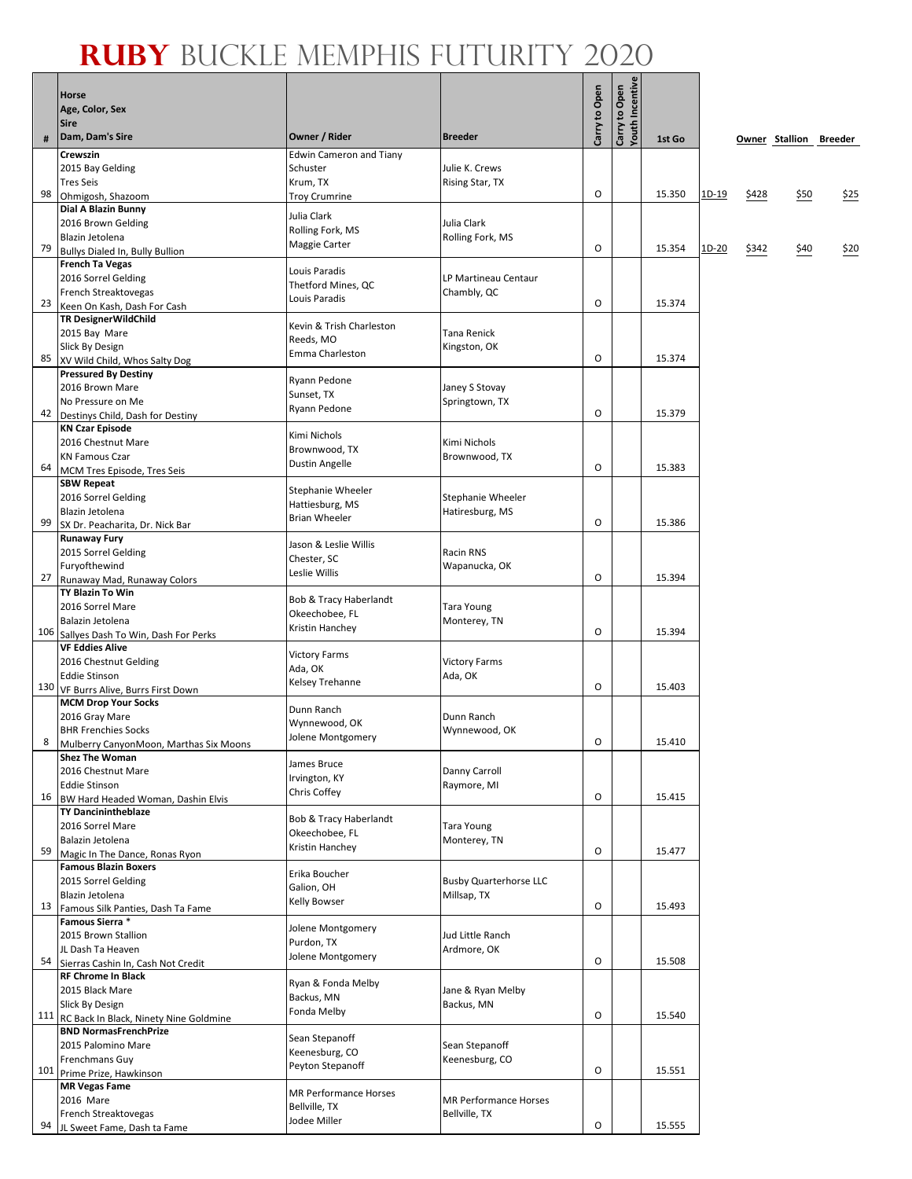$\overline{\phantom{a}}$ 

|     | <b>Horse</b>                                                       |                                       |                                              | Carry to Open | Youth Incentive<br>Carry to Open |        |              |       |                        |      |
|-----|--------------------------------------------------------------------|---------------------------------------|----------------------------------------------|---------------|----------------------------------|--------|--------------|-------|------------------------|------|
|     | Age, Color, Sex<br><b>Sire</b>                                     |                                       |                                              |               |                                  |        |              |       |                        |      |
| #   | Dam, Dam's Sire                                                    | Owner / Rider                         | <b>Breeder</b>                               |               |                                  | 1st Go |              |       | Owner Stallion Breeder |      |
|     | Crewszin                                                           | <b>Edwin Cameron and Tiany</b>        |                                              |               |                                  |        |              |       |                        |      |
|     | 2015 Bay Gelding                                                   | Schuster                              | Julie K. Crews                               |               |                                  |        |              |       |                        |      |
|     | <b>Tres Seis</b>                                                   | Krum, TX                              | Rising Star, TX                              |               |                                  |        |              |       |                        |      |
| 98  | Ohmigosh, Shazoom                                                  | <b>Troy Crumrine</b>                  |                                              | O             |                                  | 15.350 | 1D-19        | \$428 | \$50                   | \$25 |
|     | Dial A Blazin Bunny<br>2016 Brown Gelding                          | Julia Clark                           | Julia Clark                                  |               |                                  |        |              |       |                        |      |
|     | Blazin Jetolena                                                    | Rolling Fork, MS                      | Rolling Fork, MS                             |               |                                  |        |              |       |                        |      |
| -79 | Bullys Dialed In, Bully Bullion                                    | Maggie Carter                         |                                              | O             |                                  | 15.354 | <u>1D-20</u> | \$342 | \$40                   | \$20 |
|     | <b>French Ta Vegas</b>                                             | Louis Paradis                         |                                              |               |                                  |        |              |       |                        |      |
|     | 2016 Sorrel Gelding                                                | Thetford Mines, QC                    | LP Martineau Centaur                         |               |                                  |        |              |       |                        |      |
|     | French Streaktovegas<br>23 Keen On Kash, Dash For Cash             | Louis Paradis                         | Chambly, QC                                  | O             |                                  | 15.374 |              |       |                        |      |
|     | <b>TR DesignerWildChild</b>                                        |                                       |                                              |               |                                  |        |              |       |                        |      |
|     | 2015 Bay Mare                                                      | Kevin & Trish Charleston<br>Reeds, MO | Tana Renick                                  |               |                                  |        |              |       |                        |      |
|     | Slick By Design                                                    | Emma Charleston                       | Kingston, OK                                 |               |                                  |        |              |       |                        |      |
|     | 85 xv Wild Child, Whos Salty Dog                                   |                                       |                                              | O             |                                  | 15.374 |              |       |                        |      |
|     | <b>Pressured By Destiny</b><br>2016 Brown Mare                     | Ryann Pedone                          | Janey S Stovay                               |               |                                  |        |              |       |                        |      |
|     | No Pressure on Me                                                  | Sunset, TX                            | Springtown, TX                               |               |                                  |        |              |       |                        |      |
| 42  | Destinys Child, Dash for Destiny                                   | Ryann Pedone                          |                                              | O             |                                  | 15.379 |              |       |                        |      |
|     | <b>KN Czar Episode</b>                                             | Kimi Nichols                          |                                              |               |                                  |        |              |       |                        |      |
|     | 2016 Chestnut Mare                                                 | Brownwood, TX                         | Kimi Nichols                                 |               |                                  |        |              |       |                        |      |
|     | <b>KN Famous Czar</b><br>64 MCM Tres Episode, Tres Seis            | Dustin Angelle                        | Brownwood, TX                                | O             |                                  | 15.383 |              |       |                        |      |
|     | <b>SBW Repeat</b>                                                  |                                       |                                              |               |                                  |        |              |       |                        |      |
|     | 2016 Sorrel Gelding                                                | Stephanie Wheeler<br>Hattiesburg, MS  | Stephanie Wheeler                            |               |                                  |        |              |       |                        |      |
|     | Blazin Jetolena                                                    | <b>Brian Wheeler</b>                  | Hatiresburg, MS                              |               |                                  |        |              |       |                        |      |
| 99  | SX Dr. Peacharita, Dr. Nick Bar<br><b>Runaway Fury</b>             |                                       |                                              | O             |                                  | 15.386 |              |       |                        |      |
|     | 2015 Sorrel Gelding                                                | Jason & Leslie Willis                 | Racin RNS                                    |               |                                  |        |              |       |                        |      |
|     | Furyofthewind                                                      | Chester, SC<br>Leslie Willis          | Wapanucka, OK                                |               |                                  |        |              |       |                        |      |
| 27  | Runaway Mad, Runaway Colors                                        |                                       |                                              | O             |                                  | 15.394 |              |       |                        |      |
|     | <b>TY Blazin To Win</b>                                            | Bob & Tracy Haberlandt                |                                              |               |                                  |        |              |       |                        |      |
|     | 2016 Sorrel Mare<br>Balazin Jetolena                               | Okeechobee, FL                        | Tara Young<br>Monterey, TN                   |               |                                  |        |              |       |                        |      |
|     | 106 Sallyes Dash To Win, Dash For Perks                            | Kristin Hanchey                       |                                              | O             |                                  | 15.394 |              |       |                        |      |
|     | <b>VF Eddies Alive</b>                                             | <b>Victory Farms</b>                  |                                              |               |                                  |        |              |       |                        |      |
|     | 2016 Chestnut Gelding                                              | Ada, OK                               | <b>Victory Farms</b>                         |               |                                  |        |              |       |                        |      |
|     | <b>Eddie Stinson</b><br>130 VF Burrs Alive, Burrs First Down       | Kelsey Trehanne                       | Ada, OK                                      | $\circ$       |                                  | 15.403 |              |       |                        |      |
|     | <b>MCM Drop Your Socks</b>                                         |                                       |                                              |               |                                  |        |              |       |                        |      |
|     | 2016 Gray Mare                                                     | Dunn Ranch<br>Wynnewood, OK           | Dunn Ranch                                   |               |                                  |        |              |       |                        |      |
| 8   | <b>BHR Frenchies Socks</b>                                         | Jolene Montgomery                     | Wynnewood, OK                                | O             |                                  | 15.410 |              |       |                        |      |
|     | Mulberry CanyonMoon, Marthas Six Moons<br><b>Shez The Woman</b>    |                                       |                                              |               |                                  |        |              |       |                        |      |
|     | 2016 Chestnut Mare                                                 | James Bruce                           | Danny Carroll                                |               |                                  |        |              |       |                        |      |
|     | <b>Eddie Stinson</b>                                               | Irvington, KY<br>Chris Coffey         | Raymore, MI                                  |               |                                  |        |              |       |                        |      |
|     | 16 BW Hard Headed Woman, Dashin Elvis                              |                                       |                                              | O             |                                  | 15.415 |              |       |                        |      |
|     | <b>TY Dancinintheblaze</b><br>2016 Sorrel Mare                     | Bob & Tracy Haberlandt                | Tara Young                                   |               |                                  |        |              |       |                        |      |
|     | Balazin Jetolena                                                   | Okeechobee, FL                        | Monterey, TN                                 |               |                                  |        |              |       |                        |      |
|     | 59 Magic In The Dance, Ronas Ryon                                  | Kristin Hanchey                       |                                              | O             |                                  | 15.477 |              |       |                        |      |
|     | <b>Famous Blazin Boxers</b>                                        | Erika Boucher                         |                                              |               |                                  |        |              |       |                        |      |
|     | 2015 Sorrel Gelding<br>Blazin Jetolena                             | Galion, OH                            | <b>Busby Quarterhorse LLC</b><br>Millsap, TX |               |                                  |        |              |       |                        |      |
| 13  | Famous Silk Panties, Dash Ta Fame                                  | Kelly Bowser                          |                                              | O             |                                  | 15.493 |              |       |                        |      |
|     | Famous Sierra *                                                    | Jolene Montgomery                     |                                              |               |                                  |        |              |       |                        |      |
|     | 2015 Brown Stallion                                                | Purdon, TX                            | Jud Little Ranch                             |               |                                  |        |              |       |                        |      |
|     | JL Dash Ta Heaven                                                  | Jolene Montgomery                     | Ardmore, OK                                  | O             |                                  | 15.508 |              |       |                        |      |
|     | 54 Sierras Cashin In, Cash Not Credit<br><b>RF Chrome In Black</b> |                                       |                                              |               |                                  |        |              |       |                        |      |
|     | 2015 Black Mare                                                    | Ryan & Fonda Melby                    | Jane & Ryan Melby                            |               |                                  |        |              |       |                        |      |
|     | Slick By Design                                                    | Backus, MN<br>Fonda Melby             | Backus, MN                                   |               |                                  |        |              |       |                        |      |
|     | 111 RC Back In Black, Ninety Nine Goldmine                         |                                       |                                              | O             |                                  | 15.540 |              |       |                        |      |
|     | <b>BND NormasFrenchPrize</b><br>2015 Palomino Mare                 | Sean Stepanoff                        | Sean Stepanoff                               |               |                                  |        |              |       |                        |      |
|     | Frenchmans Guy                                                     | Keenesburg, CO                        | Keenesburg, CO                               |               |                                  |        |              |       |                        |      |
|     | 101 Prime Prize, Hawkinson                                         | Peyton Stepanoff                      |                                              | O             |                                  | 15.551 |              |       |                        |      |
|     | <b>MR Vegas Fame</b>                                               | MR Performance Horses                 |                                              |               |                                  |        |              |       |                        |      |
|     | 2016 Mare<br>French Streaktovegas                                  | Bellville, TX                         | MR Performance Horses<br>Bellville, TX       |               |                                  |        |              |       |                        |      |
| 94  | JL Sweet Fame, Dash ta Fame                                        | Jodee Miller                          |                                              | O             |                                  | 15.555 |              |       |                        |      |
|     |                                                                    |                                       |                                              |               |                                  |        |              |       |                        |      |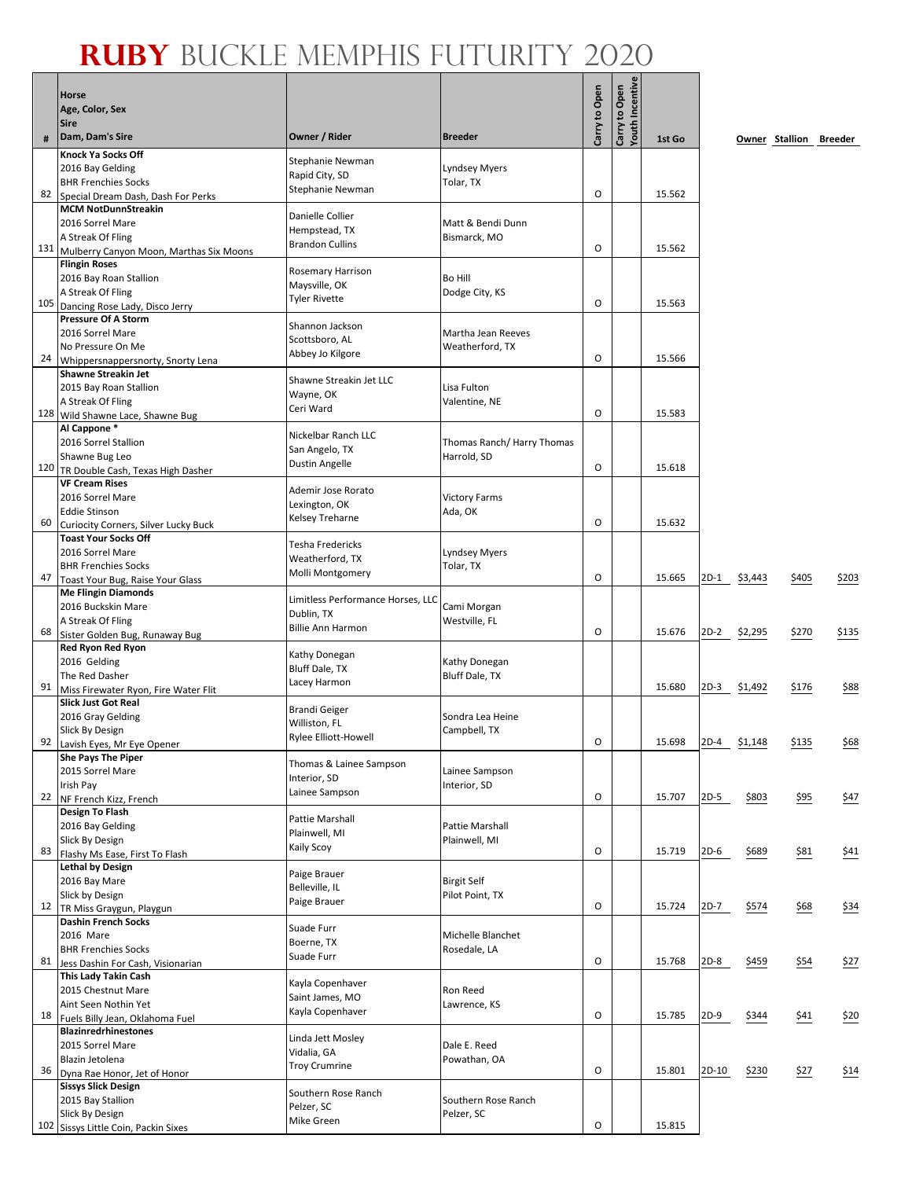# **Ruby** Buckle Memphis Futurity 2020

|     | <b>Horse</b>                                                       |                                       |                                   |               | Carry to Open<br>Youth Incentive |        |        |         |             |                        |
|-----|--------------------------------------------------------------------|---------------------------------------|-----------------------------------|---------------|----------------------------------|--------|--------|---------|-------------|------------------------|
|     | Age, Color, Sex                                                    |                                       |                                   |               |                                  |        |        |         |             |                        |
|     | <b>Sire</b><br>Dam, Dam's Sire                                     | Owner / Rider                         | <b>Breeder</b>                    | Carry to Open |                                  |        |        |         |             |                        |
| #   | <b>Knock Ya Socks Off</b>                                          |                                       |                                   |               |                                  | 1st Go |        |         |             | Owner Stallion Breeder |
|     | 2016 Bay Gelding                                                   | Stephanie Newman                      | <b>Lyndsey Myers</b>              |               |                                  |        |        |         |             |                        |
|     | <b>BHR Frenchies Socks</b>                                         | Rapid City, SD<br>Stephanie Newman    | Tolar, TX                         |               |                                  |        |        |         |             |                        |
| 82  | Special Dream Dash, Dash For Perks<br><b>MCM NotDunnStreakin</b>   |                                       |                                   | O             |                                  | 15.562 |        |         |             |                        |
|     | 2016 Sorrel Mare                                                   | Danielle Collier                      | Matt & Bendi Dunn                 |               |                                  |        |        |         |             |                        |
|     | A Streak Of Fling                                                  | Hempstead, TX                         | Bismarck, MO                      |               |                                  |        |        |         |             |                        |
|     | 131 Mulberry Canyon Moon, Marthas Six Moons                        | <b>Brandon Cullins</b>                |                                   | O             |                                  | 15.562 |        |         |             |                        |
|     | <b>Flingin Roses</b>                                               | Rosemary Harrison                     |                                   |               |                                  |        |        |         |             |                        |
|     | 2016 Bay Roan Stallion<br>A Streak Of Fling                        | Maysville, OK                         | Bo Hill<br>Dodge City, KS         |               |                                  |        |        |         |             |                        |
| 105 | Dancing Rose Lady, Disco Jerry                                     | <b>Tyler Rivette</b>                  |                                   | 0             |                                  | 15.563 |        |         |             |                        |
|     | <b>Pressure Of A Storm</b>                                         | Shannon Jackson                       |                                   |               |                                  |        |        |         |             |                        |
|     | 2016 Sorrel Mare                                                   | Scottsboro, AL                        | Martha Jean Reeves                |               |                                  |        |        |         |             |                        |
| 24  | No Pressure On Me<br>Whippersnappersnorty, Snorty Lena             | Abbey Jo Kilgore                      | Weatherford, TX                   | O             |                                  | 15.566 |        |         |             |                        |
|     | <b>Shawne Streakin Jet</b>                                         |                                       |                                   |               |                                  |        |        |         |             |                        |
|     | 2015 Bay Roan Stallion                                             | Shawne Streakin Jet LLC<br>Wayne, OK  | Lisa Fulton                       |               |                                  |        |        |         |             |                        |
|     | A Streak Of Fling                                                  | Ceri Ward                             | Valentine, NE                     | 0             |                                  | 15.583 |        |         |             |                        |
|     | 128 Wild Shawne Lace, Shawne Bug<br>Al Cappone*                    |                                       |                                   |               |                                  |        |        |         |             |                        |
|     | 2016 Sorrel Stallion                                               | Nickelbar Ranch LLC                   | Thomas Ranch/ Harry Thomas        |               |                                  |        |        |         |             |                        |
|     | Shawne Bug Leo                                                     | San Angelo, TX<br>Dustin Angelle      | Harrold, SD                       |               |                                  |        |        |         |             |                        |
|     | 120 TR Double Cash, Texas High Dasher                              |                                       |                                   | O             |                                  | 15.618 |        |         |             |                        |
|     | <b>VF Cream Rises</b><br>2016 Sorrel Mare                          | Ademir Jose Rorato                    | <b>Victory Farms</b>              |               |                                  |        |        |         |             |                        |
|     | <b>Eddie Stinson</b>                                               | Lexington, OK                         | Ada, OK                           |               |                                  |        |        |         |             |                        |
| 60  | Curiocity Corners, Silver Lucky Buck                               | Kelsey Treharne                       |                                   | O             |                                  | 15.632 |        |         |             |                        |
|     | <b>Toast Your Socks Off</b>                                        | Tesha Fredericks                      |                                   |               |                                  |        |        |         |             |                        |
|     | 2016 Sorrel Mare<br><b>BHR Frenchies Socks</b>                     | Weatherford, TX                       | <b>Lyndsey Myers</b><br>Tolar, TX |               |                                  |        |        |         |             |                        |
| 47  | Toast Your Bug, Raise Your Glass                                   | Molli Montgomery                      |                                   | O             |                                  | 15.665 | 2D-1   | \$3,443 | \$405       | \$203                  |
|     | <b>Me Flingin Diamonds</b>                                         | Limitless Performance Horses, LLC     |                                   |               |                                  |        |        |         |             |                        |
|     | 2016 Buckskin Mare                                                 | Dublin, TX                            | Cami Morgan                       |               |                                  |        |        |         |             |                        |
| 68  | A Streak Of Fling<br>Sister Golden Bug, Runaway Bug                | <b>Billie Ann Harmon</b>              | Westville, FL                     | O             |                                  | 15.676 | 2D-2   | \$2,295 | \$270       | \$135                  |
|     | <b>Red Ryon Red Ryon</b>                                           |                                       |                                   |               |                                  |        |        |         |             |                        |
|     | 2016 Gelding                                                       | Kathy Donegan<br>Bluff Dale, TX       | Kathy Donegan                     |               |                                  |        |        |         |             |                        |
| 91  | The Red Dasher                                                     | Lacey Harmon                          | <b>Bluff Dale, TX</b>             |               |                                  | 15.680 | 2D-3   | \$1,492 | \$176       | \$88                   |
|     | Miss Firewater Ryon, Fire Water Flit<br><b>Slick Just Got Real</b> |                                       |                                   |               |                                  |        |        |         |             |                        |
|     | 2016 Gray Gelding                                                  | <b>Brandi Geiger</b><br>Williston, FL | Sondra Lea Heine                  |               |                                  |        |        |         |             |                        |
|     | Slick By Design                                                    | Rylee Elliott-Howell                  | Campbell, TX                      | O             |                                  |        |        |         |             |                        |
|     | 92 Lavish Eyes, Mr Eye Opener<br>She Pays The Piper                |                                       |                                   |               |                                  | 15.698 | $2D-4$ | \$1,148 | \$135       | \$68                   |
|     | 2015 Sorrel Mare                                                   | Thomas & Lainee Sampson               | Lainee Sampson                    |               |                                  |        |        |         |             |                        |
|     | Irish Pay                                                          | Interior, SD<br>Lainee Sampson        | Interior, SD                      |               |                                  |        |        |         |             |                        |
| 22  | NF French Kizz, French                                             |                                       |                                   | O             |                                  | 15.707 | $2D-5$ | \$803   | \$95        | 547                    |
|     | <b>Design To Flash</b><br>2016 Bay Gelding                         | Pattie Marshall                       | Pattie Marshall                   |               |                                  |        |        |         |             |                        |
|     | Slick By Design                                                    | Plainwell, MI                         | Plainwell, MI                     |               |                                  |        |        |         |             |                        |
|     | 83 Flashy Ms Ease, First To Flash                                  | Kaily Scoy                            |                                   | $\mathsf O$   |                                  | 15.719 | $2D-6$ | \$689   | <u>\$81</u> | <u>\$41</u>            |
|     | <b>Lethal by Design</b><br>2016 Bay Mare                           | Paige Brauer                          | <b>Birgit Self</b>                |               |                                  |        |        |         |             |                        |
|     | Slick by Design                                                    | Belleville, IL                        | Pilot Point, TX                   |               |                                  |        |        |         |             |                        |
| 12  | TR Miss Graygun, Playgun                                           | Paige Brauer                          |                                   | O             |                                  | 15.724 | $2D-7$ | \$574   | \$68        | $\frac{$34}{}$         |
|     | <b>Dashin French Socks</b>                                         | Suade Furr                            |                                   |               |                                  |        |        |         |             |                        |
|     | 2016 Mare<br><b>BHR Frenchies Socks</b>                            | Boerne, TX                            | Michelle Blanchet<br>Rosedale, LA |               |                                  |        |        |         |             |                        |
| 81  | Jess Dashin For Cash, Visionarian                                  | Suade Furr                            |                                   | $\mathsf O$   |                                  | 15.768 | 2D-8   | \$459   | 554         | 527                    |
|     | This Lady Takin Cash                                               | Kayla Copenhaver                      |                                   |               |                                  |        |        |         |             |                        |
|     | 2015 Chestnut Mare                                                 | Saint James, MO                       | Ron Reed                          |               |                                  |        |        |         |             |                        |
|     | Aint Seen Nothin Yet<br>18 Fuels Billy Jean, Oklahoma Fuel         | Kayla Copenhaver                      | Lawrence, KS                      | O             |                                  | 15.785 | $2D-9$ | \$344   | \$41        | \$20                   |
|     | <b>Blazinredrhinestones</b>                                        |                                       |                                   |               |                                  |        |        |         |             |                        |
|     | 2015 Sorrel Mare                                                   | Linda Jett Mosley<br>Vidalia, GA      | Dale E. Reed                      |               |                                  |        |        |         |             |                        |
| 36  | Blazin Jetolena                                                    | <b>Troy Crumrine</b>                  | Powathan, OA                      | O             |                                  | 15.801 | 2D-10  | \$230   | \$27        | 514                    |
|     | Dyna Rae Honor, Jet of Honor<br><b>Sissys Slick Design</b>         |                                       |                                   |               |                                  |        |        |         |             |                        |
|     | 2015 Bay Stallion                                                  | Southern Rose Ranch<br>Pelzer, SC     | Southern Rose Ranch               |               |                                  |        |        |         |             |                        |
|     | Slick By Design                                                    | Mike Green                            | Pelzer, SC                        |               |                                  |        |        |         |             |                        |
|     | 102 Sissys Little Coin, Packin Sixes                               |                                       |                                   | O             |                                  | 15.815 |        |         |             |                        |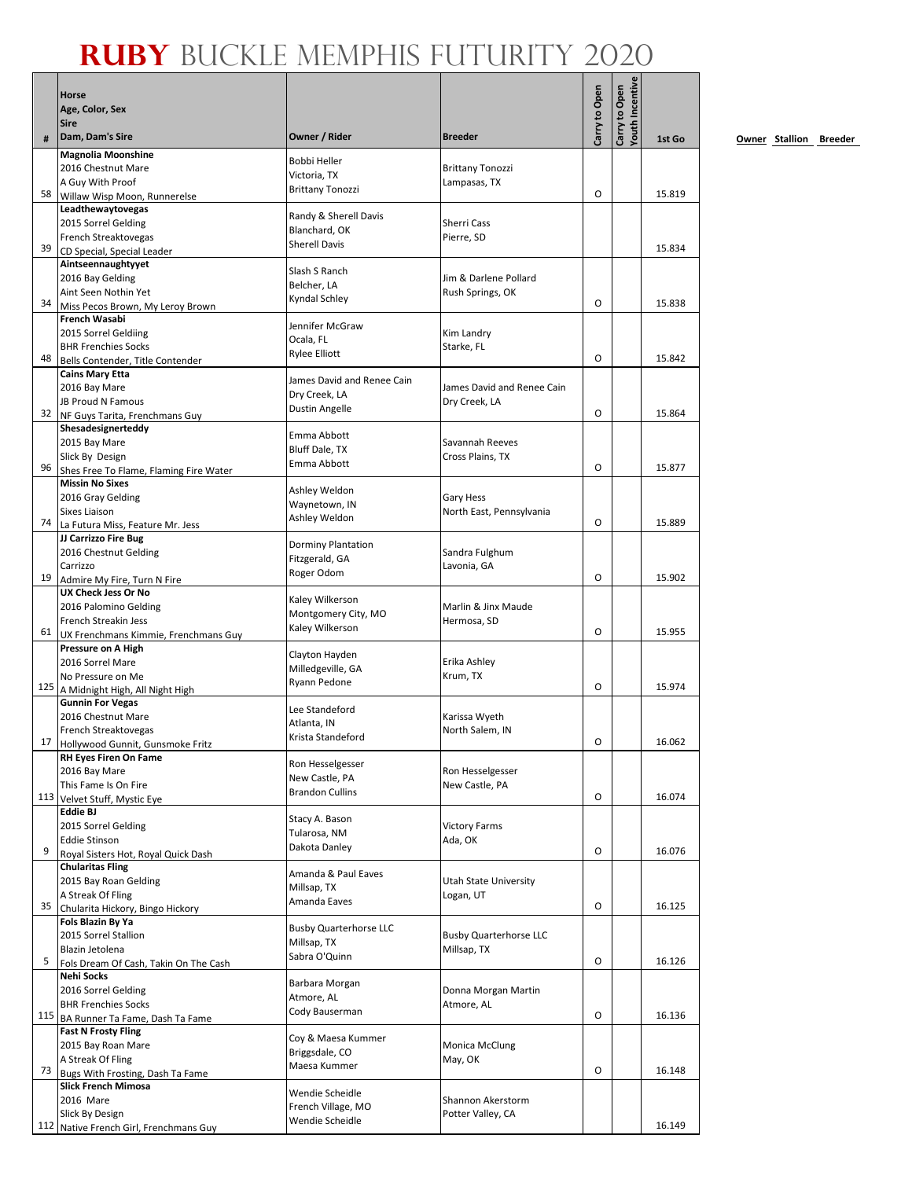# **Ruby** Buckle Memphis Futurity 2020

| Youth Incentive<br>Carry to Open<br>Carry to Open<br>Age, Color, Sex<br><b>Sire</b><br>Owner / Rider<br>Dam, Dam's Sire<br><b>Breeder</b><br>#<br><b>Magnolia Moonshine</b><br>Bobbi Heller<br>2016 Chestnut Mare<br><b>Brittany Tonozzi</b><br>Victoria, TX<br>A Guy With Proof<br>Lampasas, TX<br><b>Brittany Tonozzi</b><br>O<br>58<br>Willaw Wisp Moon, Runnerelse<br>Leadthewaytovegas<br>Randy & Sherell Davis<br>2015 Sorrel Gelding<br>Sherri Cass<br>Blanchard, OK<br>French Streaktovegas<br>Pierre, SD<br><b>Sherell Davis</b><br>39<br>CD Special, Special Leader<br>Aintseennaughtyyet<br>Slash S Ranch<br>2016 Bay Gelding<br>Jim & Darlene Pollard<br>Belcher, LA<br>Aint Seen Nothin Yet<br>Rush Springs, OK<br>Kyndal Schley<br>O<br>34<br>Miss Pecos Brown, My Leroy Brown<br>French Wasabi<br>Jennifer McGraw<br>2015 Sorrel Geldiing<br>Kim Landry<br>Ocala, FL<br><b>BHR Frenchies Socks</b><br>Starke, FL<br>Rylee Elliott<br>O<br>48<br>Bells Contender, Title Contender<br><b>Cains Mary Etta</b><br>James David and Renee Cain<br>2016 Bay Mare<br>James David and Renee Cain<br>Dry Creek, LA<br><b>JB Proud N Famous</b><br>Dry Creek, LA<br>Dustin Angelle<br>O<br>32<br>NF Guys Tarita, Frenchmans Guy<br>Shesadesignerteddy<br>Emma Abbott<br>2015 Bay Mare<br>Savannah Reeves<br>Bluff Dale, TX<br>Slick By Design<br>Cross Plains, TX<br>Emma Abbott<br>O<br>96 |        |
|-------------------------------------------------------------------------------------------------------------------------------------------------------------------------------------------------------------------------------------------------------------------------------------------------------------------------------------------------------------------------------------------------------------------------------------------------------------------------------------------------------------------------------------------------------------------------------------------------------------------------------------------------------------------------------------------------------------------------------------------------------------------------------------------------------------------------------------------------------------------------------------------------------------------------------------------------------------------------------------------------------------------------------------------------------------------------------------------------------------------------------------------------------------------------------------------------------------------------------------------------------------------------------------------------------------------------------------------------------------------------------------------------|--------|
|                                                                                                                                                                                                                                                                                                                                                                                                                                                                                                                                                                                                                                                                                                                                                                                                                                                                                                                                                                                                                                                                                                                                                                                                                                                                                                                                                                                                 |        |
|                                                                                                                                                                                                                                                                                                                                                                                                                                                                                                                                                                                                                                                                                                                                                                                                                                                                                                                                                                                                                                                                                                                                                                                                                                                                                                                                                                                                 | 1st Go |
|                                                                                                                                                                                                                                                                                                                                                                                                                                                                                                                                                                                                                                                                                                                                                                                                                                                                                                                                                                                                                                                                                                                                                                                                                                                                                                                                                                                                 |        |
|                                                                                                                                                                                                                                                                                                                                                                                                                                                                                                                                                                                                                                                                                                                                                                                                                                                                                                                                                                                                                                                                                                                                                                                                                                                                                                                                                                                                 |        |
|                                                                                                                                                                                                                                                                                                                                                                                                                                                                                                                                                                                                                                                                                                                                                                                                                                                                                                                                                                                                                                                                                                                                                                                                                                                                                                                                                                                                 | 15.819 |
|                                                                                                                                                                                                                                                                                                                                                                                                                                                                                                                                                                                                                                                                                                                                                                                                                                                                                                                                                                                                                                                                                                                                                                                                                                                                                                                                                                                                 |        |
|                                                                                                                                                                                                                                                                                                                                                                                                                                                                                                                                                                                                                                                                                                                                                                                                                                                                                                                                                                                                                                                                                                                                                                                                                                                                                                                                                                                                 |        |
|                                                                                                                                                                                                                                                                                                                                                                                                                                                                                                                                                                                                                                                                                                                                                                                                                                                                                                                                                                                                                                                                                                                                                                                                                                                                                                                                                                                                 | 15.834 |
|                                                                                                                                                                                                                                                                                                                                                                                                                                                                                                                                                                                                                                                                                                                                                                                                                                                                                                                                                                                                                                                                                                                                                                                                                                                                                                                                                                                                 |        |
|                                                                                                                                                                                                                                                                                                                                                                                                                                                                                                                                                                                                                                                                                                                                                                                                                                                                                                                                                                                                                                                                                                                                                                                                                                                                                                                                                                                                 |        |
|                                                                                                                                                                                                                                                                                                                                                                                                                                                                                                                                                                                                                                                                                                                                                                                                                                                                                                                                                                                                                                                                                                                                                                                                                                                                                                                                                                                                 | 15.838 |
|                                                                                                                                                                                                                                                                                                                                                                                                                                                                                                                                                                                                                                                                                                                                                                                                                                                                                                                                                                                                                                                                                                                                                                                                                                                                                                                                                                                                 |        |
|                                                                                                                                                                                                                                                                                                                                                                                                                                                                                                                                                                                                                                                                                                                                                                                                                                                                                                                                                                                                                                                                                                                                                                                                                                                                                                                                                                                                 |        |
|                                                                                                                                                                                                                                                                                                                                                                                                                                                                                                                                                                                                                                                                                                                                                                                                                                                                                                                                                                                                                                                                                                                                                                                                                                                                                                                                                                                                 | 15.842 |
|                                                                                                                                                                                                                                                                                                                                                                                                                                                                                                                                                                                                                                                                                                                                                                                                                                                                                                                                                                                                                                                                                                                                                                                                                                                                                                                                                                                                 |        |
|                                                                                                                                                                                                                                                                                                                                                                                                                                                                                                                                                                                                                                                                                                                                                                                                                                                                                                                                                                                                                                                                                                                                                                                                                                                                                                                                                                                                 |        |
|                                                                                                                                                                                                                                                                                                                                                                                                                                                                                                                                                                                                                                                                                                                                                                                                                                                                                                                                                                                                                                                                                                                                                                                                                                                                                                                                                                                                 | 15.864 |
|                                                                                                                                                                                                                                                                                                                                                                                                                                                                                                                                                                                                                                                                                                                                                                                                                                                                                                                                                                                                                                                                                                                                                                                                                                                                                                                                                                                                 |        |
|                                                                                                                                                                                                                                                                                                                                                                                                                                                                                                                                                                                                                                                                                                                                                                                                                                                                                                                                                                                                                                                                                                                                                                                                                                                                                                                                                                                                 |        |
| Shes Free To Flame, Flaming Fire Water                                                                                                                                                                                                                                                                                                                                                                                                                                                                                                                                                                                                                                                                                                                                                                                                                                                                                                                                                                                                                                                                                                                                                                                                                                                                                                                                                          | 15.877 |
| <b>Missin No Sixes</b><br>Ashley Weldon<br>2016 Gray Gelding<br><b>Gary Hess</b>                                                                                                                                                                                                                                                                                                                                                                                                                                                                                                                                                                                                                                                                                                                                                                                                                                                                                                                                                                                                                                                                                                                                                                                                                                                                                                                |        |
| Waynetown, IN<br><b>Sixes Liaison</b><br>North East, Pennsylvania<br>Ashley Weldon                                                                                                                                                                                                                                                                                                                                                                                                                                                                                                                                                                                                                                                                                                                                                                                                                                                                                                                                                                                                                                                                                                                                                                                                                                                                                                              |        |
| 0<br>74<br>La Futura Miss, Feature Mr. Jess                                                                                                                                                                                                                                                                                                                                                                                                                                                                                                                                                                                                                                                                                                                                                                                                                                                                                                                                                                                                                                                                                                                                                                                                                                                                                                                                                     | 15.889 |
| JJ Carrizzo Fire Bug<br>Dorminy Plantation<br>2016 Chestnut Gelding<br>Sandra Fulghum                                                                                                                                                                                                                                                                                                                                                                                                                                                                                                                                                                                                                                                                                                                                                                                                                                                                                                                                                                                                                                                                                                                                                                                                                                                                                                           |        |
| Fitzgerald, GA<br>Carrizzo<br>Lavonia, GA<br>Roger Odom                                                                                                                                                                                                                                                                                                                                                                                                                                                                                                                                                                                                                                                                                                                                                                                                                                                                                                                                                                                                                                                                                                                                                                                                                                                                                                                                         |        |
| O<br>19<br>Admire My Fire, Turn N Fire                                                                                                                                                                                                                                                                                                                                                                                                                                                                                                                                                                                                                                                                                                                                                                                                                                                                                                                                                                                                                                                                                                                                                                                                                                                                                                                                                          | 15.902 |
| UX Check Jess Or No<br>Kaley Wilkerson<br>2016 Palomino Gelding<br>Marlin & Jinx Maude                                                                                                                                                                                                                                                                                                                                                                                                                                                                                                                                                                                                                                                                                                                                                                                                                                                                                                                                                                                                                                                                                                                                                                                                                                                                                                          |        |
| Montgomery City, MO<br>French Streakin Jess<br>Hermosa, SD<br>Kaley Wilkerson                                                                                                                                                                                                                                                                                                                                                                                                                                                                                                                                                                                                                                                                                                                                                                                                                                                                                                                                                                                                                                                                                                                                                                                                                                                                                                                   |        |
| O<br>61<br>UX Frenchmans Kimmie, Frenchmans Guy                                                                                                                                                                                                                                                                                                                                                                                                                                                                                                                                                                                                                                                                                                                                                                                                                                                                                                                                                                                                                                                                                                                                                                                                                                                                                                                                                 | 15.955 |
| Pressure on A High<br>Clayton Hayden<br>Erika Ashley<br>2016 Sorrel Mare                                                                                                                                                                                                                                                                                                                                                                                                                                                                                                                                                                                                                                                                                                                                                                                                                                                                                                                                                                                                                                                                                                                                                                                                                                                                                                                        |        |
| Milledgeville, GA<br>Krum, TX<br>No Pressure on Me<br>Ryann Pedone                                                                                                                                                                                                                                                                                                                                                                                                                                                                                                                                                                                                                                                                                                                                                                                                                                                                                                                                                                                                                                                                                                                                                                                                                                                                                                                              |        |
| O<br>125<br>A Midnight High, All Night High<br><b>Gunnin For Vegas</b>                                                                                                                                                                                                                                                                                                                                                                                                                                                                                                                                                                                                                                                                                                                                                                                                                                                                                                                                                                                                                                                                                                                                                                                                                                                                                                                          | 15.974 |
| Lee Standeford<br>2016 Chestnut Mare<br>Karissa Wyeth                                                                                                                                                                                                                                                                                                                                                                                                                                                                                                                                                                                                                                                                                                                                                                                                                                                                                                                                                                                                                                                                                                                                                                                                                                                                                                                                           |        |
| Atlanta, IN<br>North Salem, IN<br>French Streaktovegas<br>Krista Standeford                                                                                                                                                                                                                                                                                                                                                                                                                                                                                                                                                                                                                                                                                                                                                                                                                                                                                                                                                                                                                                                                                                                                                                                                                                                                                                                     |        |
| 0<br>17<br>Hollywood Gunnit, Gunsmoke Fritz<br>RH Eyes Firen On Fame                                                                                                                                                                                                                                                                                                                                                                                                                                                                                                                                                                                                                                                                                                                                                                                                                                                                                                                                                                                                                                                                                                                                                                                                                                                                                                                            | 16.062 |
| Ron Hesselgesser<br>Ron Hesselgesser<br>2016 Bay Mare<br>New Castle, PA                                                                                                                                                                                                                                                                                                                                                                                                                                                                                                                                                                                                                                                                                                                                                                                                                                                                                                                                                                                                                                                                                                                                                                                                                                                                                                                         |        |
| This Fame Is On Fire<br>New Castle, PA<br><b>Brandon Cullins</b><br>0                                                                                                                                                                                                                                                                                                                                                                                                                                                                                                                                                                                                                                                                                                                                                                                                                                                                                                                                                                                                                                                                                                                                                                                                                                                                                                                           | 16.074 |
| 113 Velvet Stuff, Mystic Eye<br><b>Eddie BJ</b>                                                                                                                                                                                                                                                                                                                                                                                                                                                                                                                                                                                                                                                                                                                                                                                                                                                                                                                                                                                                                                                                                                                                                                                                                                                                                                                                                 |        |
| Stacy A. Bason<br><b>Victory Farms</b><br>2015 Sorrel Gelding<br>Tularosa, NM                                                                                                                                                                                                                                                                                                                                                                                                                                                                                                                                                                                                                                                                                                                                                                                                                                                                                                                                                                                                                                                                                                                                                                                                                                                                                                                   |        |
| <b>Eddie Stinson</b><br>Ada, OK<br>Dakota Danley<br>9<br>O                                                                                                                                                                                                                                                                                                                                                                                                                                                                                                                                                                                                                                                                                                                                                                                                                                                                                                                                                                                                                                                                                                                                                                                                                                                                                                                                      | 16.076 |
| Royal Sisters Hot, Royal Quick Dash<br><b>Chularitas Fling</b>                                                                                                                                                                                                                                                                                                                                                                                                                                                                                                                                                                                                                                                                                                                                                                                                                                                                                                                                                                                                                                                                                                                                                                                                                                                                                                                                  |        |
| Amanda & Paul Eaves<br>2015 Bay Roan Gelding<br><b>Utah State University</b><br>Millsap, TX                                                                                                                                                                                                                                                                                                                                                                                                                                                                                                                                                                                                                                                                                                                                                                                                                                                                                                                                                                                                                                                                                                                                                                                                                                                                                                     |        |
| A Streak Of Fling<br>Logan, UT<br>Amanda Eaves<br>0<br>35                                                                                                                                                                                                                                                                                                                                                                                                                                                                                                                                                                                                                                                                                                                                                                                                                                                                                                                                                                                                                                                                                                                                                                                                                                                                                                                                       | 16.125 |
| Chularita Hickory, Bingo Hickory<br>Fols Blazin By Ya                                                                                                                                                                                                                                                                                                                                                                                                                                                                                                                                                                                                                                                                                                                                                                                                                                                                                                                                                                                                                                                                                                                                                                                                                                                                                                                                           |        |
| <b>Busby Quarterhorse LLC</b><br>2015 Sorrel Stallion<br><b>Busby Quarterhorse LLC</b><br>Millsap, TX                                                                                                                                                                                                                                                                                                                                                                                                                                                                                                                                                                                                                                                                                                                                                                                                                                                                                                                                                                                                                                                                                                                                                                                                                                                                                           |        |
| Blazin Jetolena<br>Millsap, TX<br>Sabra O'Quinn<br>O<br>5                                                                                                                                                                                                                                                                                                                                                                                                                                                                                                                                                                                                                                                                                                                                                                                                                                                                                                                                                                                                                                                                                                                                                                                                                                                                                                                                       | 16.126 |
| Fols Dream Of Cash, Takin On The Cash<br>Nehi Socks                                                                                                                                                                                                                                                                                                                                                                                                                                                                                                                                                                                                                                                                                                                                                                                                                                                                                                                                                                                                                                                                                                                                                                                                                                                                                                                                             |        |
| Barbara Morgan<br>2016 Sorrel Gelding<br>Donna Morgan Martin<br>Atmore, AL                                                                                                                                                                                                                                                                                                                                                                                                                                                                                                                                                                                                                                                                                                                                                                                                                                                                                                                                                                                                                                                                                                                                                                                                                                                                                                                      |        |
| <b>BHR Frenchies Socks</b><br>Atmore, AL<br>Cody Bauserman<br>0<br>115 BA Runner Ta Fame, Dash Ta Fame                                                                                                                                                                                                                                                                                                                                                                                                                                                                                                                                                                                                                                                                                                                                                                                                                                                                                                                                                                                                                                                                                                                                                                                                                                                                                          | 16.136 |
| <b>Fast N Frosty Fling</b>                                                                                                                                                                                                                                                                                                                                                                                                                                                                                                                                                                                                                                                                                                                                                                                                                                                                                                                                                                                                                                                                                                                                                                                                                                                                                                                                                                      |        |
| Coy & Maesa Kummer<br>2015 Bay Roan Mare<br>Monica McClung<br>Briggsdale, CO                                                                                                                                                                                                                                                                                                                                                                                                                                                                                                                                                                                                                                                                                                                                                                                                                                                                                                                                                                                                                                                                                                                                                                                                                                                                                                                    |        |
| A Streak Of Fling<br>May, OK<br>Maesa Kummer<br>0<br>73<br>Bugs With Frosting, Dash Ta Fame                                                                                                                                                                                                                                                                                                                                                                                                                                                                                                                                                                                                                                                                                                                                                                                                                                                                                                                                                                                                                                                                                                                                                                                                                                                                                                     | 16.148 |
| <b>Slick French Mimosa</b>                                                                                                                                                                                                                                                                                                                                                                                                                                                                                                                                                                                                                                                                                                                                                                                                                                                                                                                                                                                                                                                                                                                                                                                                                                                                                                                                                                      |        |
| Wendie Scheidle<br>2016 Mare<br>Shannon Akerstorm<br>French Village, MO                                                                                                                                                                                                                                                                                                                                                                                                                                                                                                                                                                                                                                                                                                                                                                                                                                                                                                                                                                                                                                                                                                                                                                                                                                                                                                                         |        |
| Slick By Design<br>Potter Valley, CA<br>Wendie Scheidle<br>112 Native French Girl, Frenchmans Guy                                                                                                                                                                                                                                                                                                                                                                                                                                                                                                                                                                                                                                                                                                                                                                                                                                                                                                                                                                                                                                                                                                                                                                                                                                                                                               | 16.149 |

**<u>Owner Stallion Breeder</u>**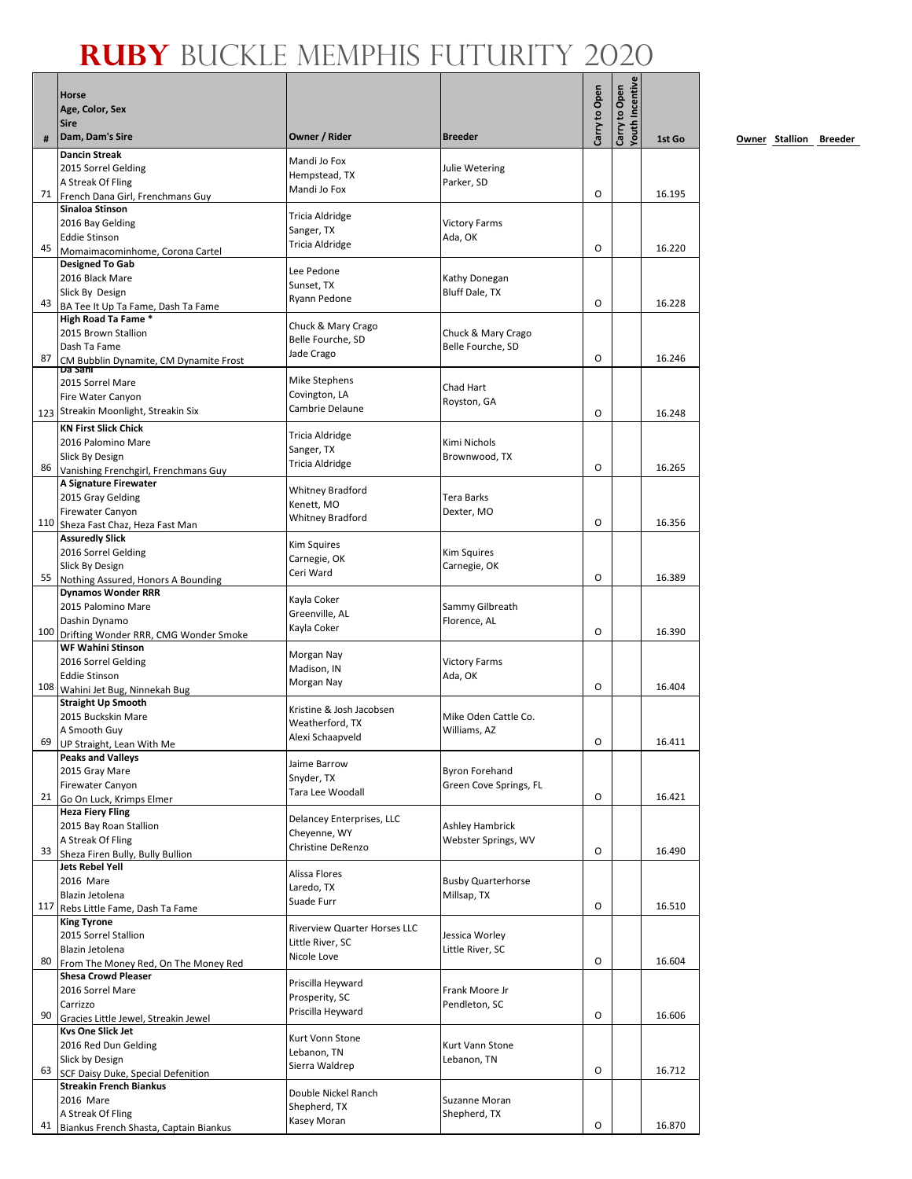|     | <b>Horse</b>                                                    |                                     |                                      |               | Youth Incentive |        |
|-----|-----------------------------------------------------------------|-------------------------------------|--------------------------------------|---------------|-----------------|--------|
|     | Age, Color, Sex                                                 |                                     |                                      | Carry to Open | Carry to Open   |        |
|     | <b>Sire</b>                                                     |                                     |                                      |               |                 |        |
|     | Dam, Dam's Sire                                                 | Owner / Rider                       | <b>Breeder</b>                       |               |                 | 1st Go |
|     | <b>Dancin Streak</b>                                            | Mandi Jo Fox                        |                                      |               |                 |        |
|     | 2015 Sorrel Gelding<br>A Streak Of Fling                        | Hempstead, TX                       | Julie Wetering<br>Parker, SD         |               |                 |        |
|     | 71 French Dana Girl, Frenchmans Guy                             | Mandi Jo Fox                        |                                      | O             |                 | 16.195 |
|     | Sinaloa Stinson                                                 | Tricia Aldridge                     |                                      |               |                 |        |
|     | 2016 Bay Gelding                                                | Sanger, TX                          | <b>Victory Farms</b>                 |               |                 |        |
| 45  | <b>Eddie Stinson</b>                                            | Tricia Aldridge                     | Ada, OK                              | O             |                 | 16.220 |
|     | Momaimacominhome, Corona Cartel<br><b>Designed To Gab</b>       |                                     |                                      |               |                 |        |
|     | 2016 Black Mare                                                 | Lee Pedone<br>Sunset, TX            | Kathy Donegan                        |               |                 |        |
|     | Slick By Design                                                 | Ryann Pedone                        | Bluff Dale, TX                       |               |                 |        |
| 43  | BA Tee It Up Ta Fame, Dash Ta Fame<br>High Road Ta Fame *       |                                     |                                      | O             |                 | 16.228 |
|     | 2015 Brown Stallion                                             | Chuck & Mary Crago                  | Chuck & Mary Crago                   |               |                 |        |
|     | Dash Ta Fame                                                    | Belle Fourche, SD                   | Belle Fourche, SD                    |               |                 |        |
| 87  | CM Bubblin Dynamite, CM Dynamite Frost<br><b>Da Sani</b>        | Jade Crago                          |                                      | O             |                 | 16.246 |
|     | 2015 Sorrel Mare                                                | <b>Mike Stephens</b>                | Chad Hart                            |               |                 |        |
|     | Fire Water Canyon                                               | Covington, LA                       | Royston, GA                          |               |                 |        |
|     | 123 Streakin Moonlight, Streakin Six                            | Cambrie Delaune                     |                                      | O             |                 | 16.248 |
|     | <b>KN First Slick Chick</b>                                     | Tricia Aldridge                     |                                      |               |                 |        |
|     | 2016 Palomino Mare<br>Slick By Design                           | Sanger, TX                          | Kimi Nichols<br>Brownwood, TX        |               |                 |        |
| 86  | Vanishing Frenchgirl, Frenchmans Guy                            | Tricia Aldridge                     |                                      | O             |                 | 16.265 |
|     | A Signature Firewater                                           | Whitney Bradford                    |                                      |               |                 |        |
|     | 2015 Gray Gelding                                               | Kenett, MO                          | Tera Barks                           |               |                 |        |
|     | <b>Firewater Canyon</b><br>110 Sheza Fast Chaz, Heza Fast Man   | Whitney Bradford                    | Dexter, MO                           | O             |                 | 16.356 |
|     | <b>Assuredly Slick</b>                                          |                                     |                                      |               |                 |        |
|     | 2016 Sorrel Gelding                                             | Kim Squires                         | Kim Squires                          |               |                 |        |
|     | Slick By Design                                                 | Carnegie, OK<br>Ceri Ward           | Carnegie, OK                         |               |                 |        |
| 55  | Nothing Assured, Honors A Bounding<br><b>Dynamos Wonder RRR</b> |                                     |                                      | O             |                 | 16.389 |
|     | 2015 Palomino Mare                                              | Kayla Coker                         | Sammy Gilbreath                      |               |                 |        |
|     | Dashin Dynamo                                                   | Greenville, AL<br>Kayla Coker       | Florence, AL                         |               |                 |        |
|     | 100 Drifting Wonder RRR, CMG Wonder Smoke                       |                                     |                                      | O             |                 | 16.390 |
|     | <b>WF Wahini Stinson</b><br>2016 Sorrel Gelding                 | Morgan Nay                          | <b>Victory Farms</b>                 |               |                 |        |
|     | <b>Eddie Stinson</b>                                            | Madison, IN                         | Ada, OK                              |               |                 |        |
| 108 | Wahini Jet Bug, Ninnekah Bug                                    | Morgan Nay                          |                                      | O             |                 | 16.404 |
|     | <b>Straight Up Smooth</b>                                       | Kristine & Josh Jacobsen            |                                      |               |                 |        |
|     | 2015 Buckskin Mare<br>A Smooth Guy                              | Weatherford, TX                     | Mike Oden Cattle Co.<br>Williams, AZ |               |                 |        |
|     | 69 UP Straight, Lean With Me                                    | Alexi Schaapveld                    |                                      | O             |                 | 16.411 |
|     | <b>Peaks and Valleys</b>                                        | Jaime Barrow                        |                                      |               |                 |        |
|     | 2015 Gray Mare                                                  | Snyder, TX                          | <b>Byron Forehand</b>                |               |                 |        |
| 21  | <b>Firewater Canyon</b><br>Go On Luck, Krimps Elmer             | Tara Lee Woodall                    | Green Cove Springs, FL               | 0             |                 | 16.421 |
|     | <b>Heza Fiery Fling</b>                                         | Delancey Enterprises, LLC           |                                      |               |                 |        |
|     | 2015 Bay Roan Stallion                                          | Cheyenne, WY                        | Ashley Hambrick                      |               |                 |        |
| 33  | A Streak Of Fling                                               | Christine DeRenzo                   | Webster Springs, WV                  | O             |                 | 16.490 |
|     | Sheza Firen Bully, Bully Bullion<br>Jets Rebel Yell             |                                     |                                      |               |                 |        |
|     | 2016 Mare                                                       | Alissa Flores<br>Laredo, TX         | <b>Busby Quarterhorse</b>            |               |                 |        |
|     | Blazin Jetolena                                                 | Suade Furr                          | Millsap, TX                          |               |                 |        |
| 117 | Rebs Little Fame, Dash Ta Fame<br><b>King Tyrone</b>            |                                     |                                      | O             |                 | 16.510 |
|     | 2015 Sorrel Stallion                                            | <b>Riverview Quarter Horses LLC</b> | Jessica Worley                       |               |                 |        |
|     | Blazin Jetolena                                                 | Little River, SC<br>Nicole Love     | Little River, SC                     |               |                 |        |
| 80  | From The Money Red, On The Money Red                            |                                     |                                      | O             |                 | 16.604 |
|     | <b>Shesa Crowd Pleaser</b><br>2016 Sorrel Mare                  | Priscilla Heyward                   | Frank Moore Jr                       |               |                 |        |
|     | Carrizzo                                                        | Prosperity, SC                      | Pendleton, SC                        |               |                 |        |
| 90  | Gracies Little Jewel, Streakin Jewel                            | Priscilla Heyward                   |                                      | O             |                 | 16.606 |
|     | <b>Kvs One Slick Jet</b>                                        | Kurt Vonn Stone                     |                                      |               |                 |        |
|     | 2016 Red Dun Gelding<br>Slick by Design                         | Lebanon, TN                         | Kurt Vann Stone<br>Lebanon, TN       |               |                 |        |
| 63  | SCF Daisy Duke, Special Defenition                              | Sierra Waldrep                      |                                      | O             |                 | 16.712 |
|     | <b>Streakin French Biankus</b>                                  | Double Nickel Ranch                 |                                      |               |                 |        |
|     | 2016 Mare<br>A Streak Of Fling                                  | Shepherd, TX                        | Suzanne Moran                        |               |                 |        |
| 41  | Biankus French Shasta, Captain Biankus                          | Kasey Moran                         | Shepherd, TX                         | O             |                 | 16.870 |
|     |                                                                 |                                     |                                      |               |                 |        |

**0wner Stallion Breeder**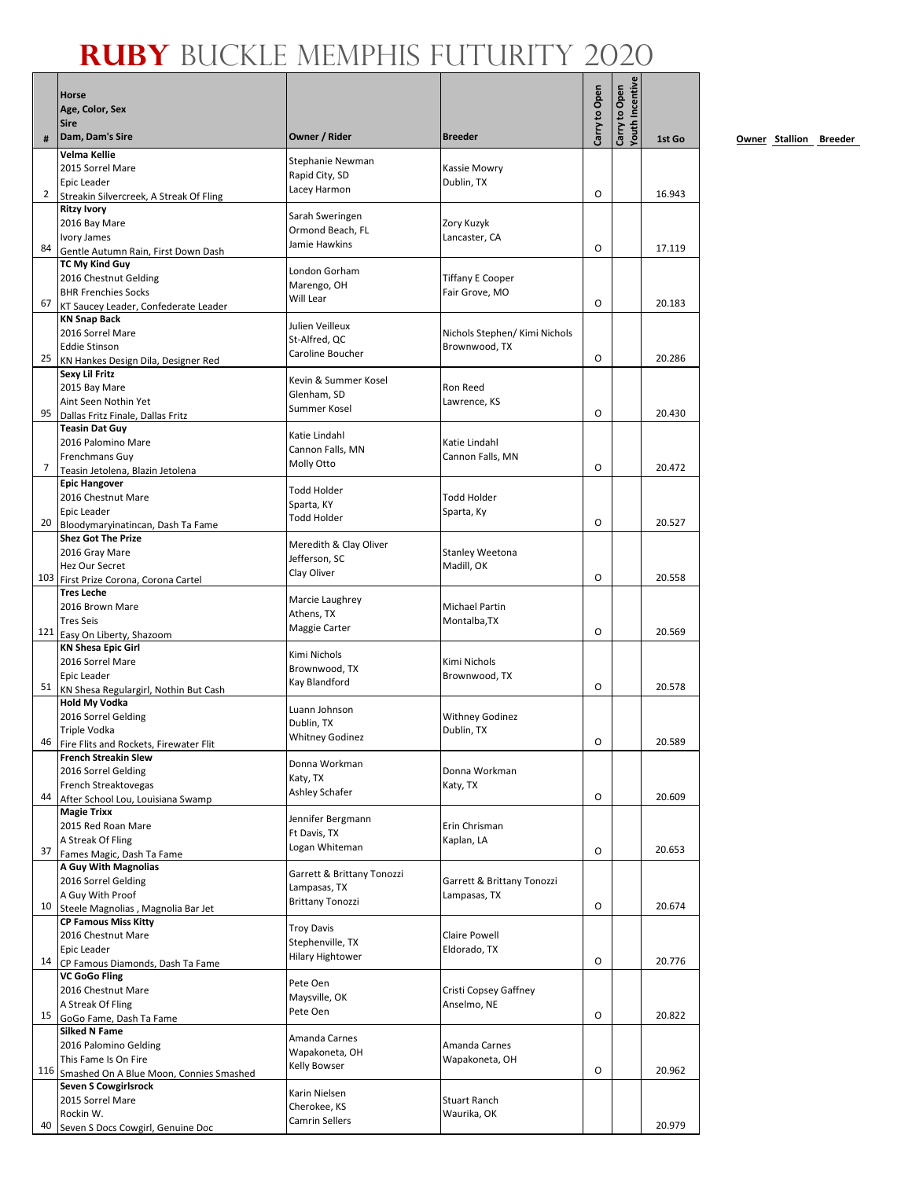|              | <b>Horse</b><br>Age, Color, Sex<br><b>Sire</b>                    |                                             |                                      | Carry to Open | Youth Incentive<br>Carry to Open |        |
|--------------|-------------------------------------------------------------------|---------------------------------------------|--------------------------------------|---------------|----------------------------------|--------|
| #            | Dam, Dam's Sire                                                   | Owner / Rider                               | <b>Breeder</b>                       |               |                                  | 1st Go |
|              | <b>Velma Kellie</b>                                               | Stephanie Newman                            |                                      |               |                                  |        |
|              | 2015 Sorrel Mare<br>Epic Leader                                   | Rapid City, SD                              | Kassie Mowry                         |               |                                  |        |
| $\mathbf{2}$ | Streakin Silvercreek, A Streak Of Fling                           | Lacey Harmon                                | Dublin, TX                           | O             |                                  | 16.943 |
|              | <b>Ritzy Ivory</b>                                                |                                             |                                      |               |                                  |        |
|              | 2016 Bay Mare                                                     | Sarah Sweringen<br>Ormond Beach, FL         | Zory Kuzyk                           |               |                                  |        |
| 84           | Ivory James                                                       | Jamie Hawkins                               | Lancaster, CA                        | O             |                                  | 17.119 |
|              | Gentle Autumn Rain, First Down Dash<br><b>TC My Kind Guy</b>      |                                             |                                      |               |                                  |        |
|              | 2016 Chestnut Gelding                                             | London Gorham                               | <b>Tiffany E Cooper</b>              |               |                                  |        |
|              | <b>BHR Frenchies Socks</b>                                        | Marengo, OH<br>Will Lear                    | Fair Grove, MO                       |               |                                  |        |
| 67           | KT Saucey Leader, Confederate Leader<br><b>KN Snap Back</b>       |                                             |                                      | O             |                                  | 20.183 |
|              | 2016 Sorrel Mare                                                  | Julien Veilleux                             | Nichols Stephen/ Kimi Nichols        |               |                                  |        |
|              | <b>Eddie Stinson</b>                                              | St-Alfred, QC<br>Caroline Boucher           | Brownwood, TX                        |               |                                  |        |
| 25           | KN Hankes Design Dila, Designer Red                               |                                             |                                      | 0             |                                  | 20.286 |
|              | <b>Sexy Lil Fritz</b><br>2015 Bay Mare                            | Kevin & Summer Kosel                        | Ron Reed                             |               |                                  |        |
|              | Aint Seen Nothin Yet                                              | Glenham, SD                                 | Lawrence, KS                         |               |                                  |        |
| 95           | Dallas Fritz Finale, Dallas Fritz                                 | Summer Kosel                                |                                      | O             |                                  | 20.430 |
|              | <b>Teasin Dat Guy</b>                                             | Katie Lindahl                               |                                      |               |                                  |        |
|              | 2016 Palomino Mare<br>Frenchmans Guy                              | Cannon Falls, MN                            | Katie Lindahl<br>Cannon Falls, MN    |               |                                  |        |
| 7            | Teasin Jetolena, Blazin Jetolena                                  | Molly Otto                                  |                                      | 0             |                                  | 20.472 |
|              | <b>Epic Hangover</b>                                              | Todd Holder                                 |                                      |               |                                  |        |
|              | 2016 Chestnut Mare                                                | Sparta, KY                                  | <b>Todd Holder</b>                   |               |                                  |        |
| 20           | <b>Epic Leader</b>                                                | Todd Holder                                 | Sparta, Ky                           | O             |                                  | 20.527 |
|              | Bloodymaryinatincan, Dash Ta Fame<br><b>Shez Got The Prize</b>    |                                             |                                      |               |                                  |        |
|              | 2016 Gray Mare                                                    | Meredith & Clay Oliver<br>Jefferson, SC     | <b>Stanley Weetona</b>               |               |                                  |        |
|              | Hez Our Secret                                                    | Clay Oliver                                 | Madill, OK                           |               |                                  |        |
|              | 103 First Prize Corona, Corona Cartel<br><b>Tres Leche</b>        |                                             |                                      | O             |                                  | 20.558 |
|              | 2016 Brown Mare                                                   | Marcie Laughrey                             | Michael Partin                       |               |                                  |        |
|              | <b>Tres Seis</b>                                                  | Athens, TX<br>Maggie Carter                 | Montalba, TX                         |               |                                  |        |
|              | 121 Easy On Liberty, Shazoom                                      |                                             |                                      | O             |                                  | 20.569 |
|              | <b>KN Shesa Epic Girl</b><br>2016 Sorrel Mare                     | Kimi Nichols                                | Kimi Nichols                         |               |                                  |        |
|              | Epic Leader                                                       | Brownwood, TX                               | Brownwood, TX                        |               |                                  |        |
| 51           | KN Shesa Regulargirl, Nothin But Cash                             | Kay Blandford                               |                                      | O             |                                  | 20.578 |
|              | <b>Hold My Vodka</b>                                              | Luann Johnson                               |                                      |               |                                  |        |
|              | 2016 Sorrel Gelding<br>Triple Vodka                               | Dublin, TX                                  | <b>Withney Godinez</b><br>Dublin, TX |               |                                  |        |
|              | 46 Fire Flits and Rockets, Firewater Flit                         | <b>Whitney Godinez</b>                      |                                      | $\Omega$      |                                  | 20.589 |
|              | <b>French Streakin Slew</b>                                       | Donna Workman                               |                                      |               |                                  |        |
|              | 2016 Sorrel Gelding                                               | Katy, TX                                    | Donna Workman                        |               |                                  |        |
| 44           | French Streaktovegas<br>After School Lou, Louisiana Swamp         | Ashley Schafer                              | Katy, TX                             | O             |                                  | 20.609 |
|              | <b>Magie Trixx</b>                                                | Jennifer Bergmann                           |                                      |               |                                  |        |
|              | 2015 Red Roan Mare                                                | Ft Davis, TX                                | Erin Chrisman                        |               |                                  |        |
| 37           | A Streak Of Fling<br>Fames Magic, Dash Ta Fame                    | Logan Whiteman                              | Kaplan, LA                           | O             |                                  | 20.653 |
|              | A Guy With Magnolias                                              |                                             |                                      |               |                                  |        |
|              | 2016 Sorrel Gelding                                               | Garrett & Brittany Tonozzi<br>Lampasas, TX  | Garrett & Brittany Tonozzi           |               |                                  |        |
| 10           | A Guy With Proof                                                  | <b>Brittany Tonozzi</b>                     | Lampasas, TX                         | O             |                                  | 20.674 |
|              | Steele Magnolias, Magnolia Bar Jet<br><b>CP Famous Miss Kitty</b> |                                             |                                      |               |                                  |        |
|              | 2016 Chestnut Mare                                                | <b>Troy Davis</b>                           | Claire Powell                        |               |                                  |        |
|              | Epic Leader                                                       | Stephenville, TX<br><b>Hilary Hightower</b> | Eldorado, TX                         |               |                                  |        |
|              | 14 CP Famous Diamonds, Dash Ta Fame                               |                                             |                                      | 0             |                                  | 20.776 |
|              | <b>VC GoGo Fling</b><br>2016 Chestnut Mare                        | Pete Oen                                    | Cristi Copsey Gaffney                |               |                                  |        |
|              | A Streak Of Fling                                                 | Maysville, OK<br>Pete Oen                   | Anselmo, NE                          |               |                                  |        |
|              | 15 GoGo Fame, Dash Ta Fame                                        |                                             |                                      | O             |                                  | 20.822 |
|              | <b>Silked N Fame</b><br>2016 Palomino Gelding                     | Amanda Carnes                               | Amanda Carnes                        |               |                                  |        |
|              | This Fame Is On Fire                                              | Wapakoneta, OH                              | Wapakoneta, OH                       |               |                                  |        |
| 116          | Smashed On A Blue Moon, Connies Smashed                           | Kelly Bowser                                |                                      | 0             |                                  | 20.962 |
|              | Seven S Cowgirlsrock                                              | Karin Nielsen                               |                                      |               |                                  |        |
|              | 2015 Sorrel Mare<br>Rockin W.                                     | Cherokee, KS                                | <b>Stuart Ranch</b><br>Waurika, OK   |               |                                  |        |
| 40           | Seven S Docs Cowgirl, Genuine Doc                                 | Camrin Sellers                              |                                      |               |                                  | 20.979 |
|              |                                                                   |                                             |                                      |               |                                  |        |

**0wner Stallion Breeder**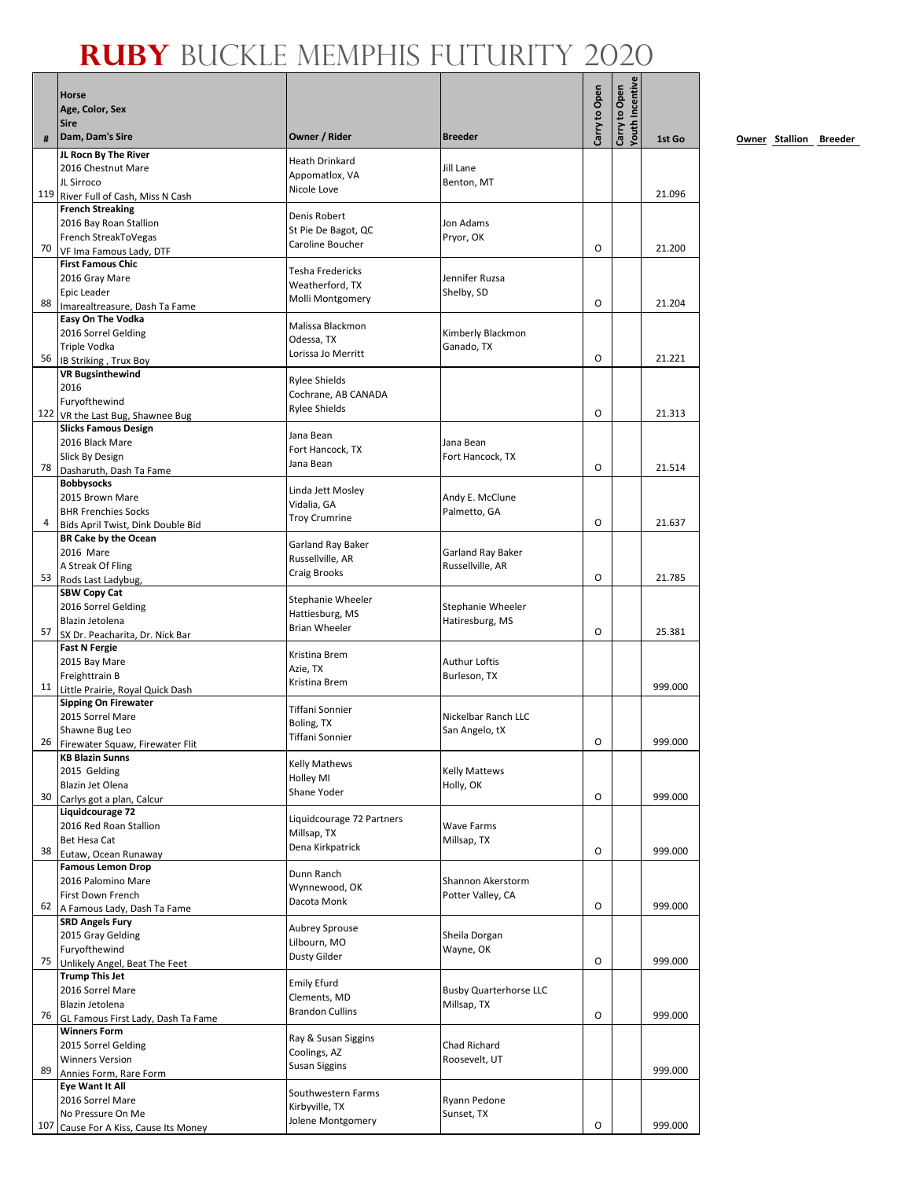|     | Horse                                                            |                                        |                                       |               | <b>Touth Incentive</b> |         |
|-----|------------------------------------------------------------------|----------------------------------------|---------------------------------------|---------------|------------------------|---------|
|     | Age, Color, Sex                                                  |                                        |                                       |               |                        |         |
|     | <b>Sire</b>                                                      |                                        |                                       | Carry to Open | Carry to Open          |         |
|     | Dam, Dam's Sire<br>JL Rocn By The River                          | Owner / Rider                          | <b>Breeder</b>                        |               |                        | 1st Go  |
|     | 2016 Chestnut Mare                                               | Heath Drinkard                         | Jill Lane                             |               |                        |         |
|     | JL Sirroco                                                       | Appomatlox, VA<br>Nicole Love          | Benton, MT                            |               |                        |         |
|     | 119 River Full of Cash, Miss N Cash                              |                                        |                                       |               |                        | 21.096  |
|     | <b>French Streaking</b><br>2016 Bay Roan Stallion                | Denis Robert                           | Jon Adams                             |               |                        |         |
|     | French StreakToVegas                                             | St Pie De Bagot, QC                    | Pryor, OK                             |               |                        |         |
| 70  | VF Ima Famous Lady, DTF                                          | Caroline Boucher                       |                                       | O             |                        | 21.200  |
|     | <b>First Famous Chic</b>                                         | Tesha Fredericks                       |                                       |               |                        |         |
|     | 2016 Gray Mare<br>Epic Leader                                    | Weatherford, TX                        | Jennifer Ruzsa<br>Shelby, SD          |               |                        |         |
| 88  | Imarealtreasure, Dash Ta Fame                                    | Molli Montgomery                       |                                       | O             |                        | 21.204  |
|     | Easy On The Vodka                                                | Malissa Blackmon                       |                                       |               |                        |         |
|     | 2016 Sorrel Gelding<br>Triple Vodka                              | Odessa, TX                             | Kimberly Blackmon<br>Ganado, TX       |               |                        |         |
| 56  | IB Striking, Trux Boy                                            | Lorissa Jo Merritt                     |                                       | O             |                        | 21.221  |
|     | <b>VR Bugsinthewind</b>                                          | <b>Rylee Shields</b>                   |                                       |               |                        |         |
|     | 2016                                                             | Cochrane, AB CANADA                    |                                       |               |                        |         |
|     | Furyofthewind<br>122 VR the Last Bug, Shawnee Bug                | <b>Rylee Shields</b>                   |                                       | 0             |                        | 21.313  |
|     | <b>Slicks Famous Design</b>                                      |                                        |                                       |               |                        |         |
|     | 2016 Black Mare                                                  | Jana Bean<br>Fort Hancock, TX          | Jana Bean                             |               |                        |         |
| 78  | Slick By Design                                                  | Jana Bean                              | Fort Hancock, TX                      | O             |                        | 21.514  |
|     | Dasharuth, Dash Ta Fame<br><b>Bobbysocks</b>                     |                                        |                                       |               |                        |         |
|     | 2015 Brown Mare                                                  | Linda Jett Mosley                      | Andy E. McClune                       |               |                        |         |
|     | <b>BHR Frenchies Socks</b>                                       | Vidalia, GA<br><b>Troy Crumrine</b>    | Palmetto, GA                          |               |                        |         |
| 4   | Bids April Twist, Dink Double Bid<br><b>BR Cake by the Ocean</b> |                                        |                                       | O             |                        | 21.637  |
|     | 2016 Mare                                                        | Garland Ray Baker                      | Garland Ray Baker                     |               |                        |         |
|     | A Streak Of Fling                                                | Russellville, AR<br>Craig Brooks       | Russellville, AR                      |               |                        |         |
| 53  | Rods Last Ladybug,                                               |                                        |                                       | O             |                        | 21.785  |
|     | <b>SBW Copy Cat</b><br>2016 Sorrel Gelding                       | Stephanie Wheeler                      | Stephanie Wheeler                     |               |                        |         |
|     | Blazin Jetolena                                                  | Hattiesburg, MS                        | Hatiresburg, MS                       |               |                        |         |
| 57  | SX Dr. Peacharita, Dr. Nick Bar                                  | <b>Brian Wheeler</b>                   |                                       | O             |                        | 25.381  |
|     | <b>Fast N Fergie</b><br>2015 Bay Mare                            | Kristina Brem                          | Authur Loftis                         |               |                        |         |
|     | Freighttrain B                                                   | Azie, TX                               | Burleson, TX                          |               |                        |         |
|     | 11 Little Prairie, Royal Quick Dash                              | Kristina Brem                          |                                       |               |                        | 999.000 |
|     | <b>Sipping On Firewater</b>                                      | Tiffani Sonnier                        |                                       |               |                        |         |
|     | 2015 Sorrel Mare<br>Shawne Bug Leo                               | Boling, TX                             | Nickelbar Ranch LLC<br>San Angelo, tX |               |                        |         |
| 26  | Firewater Squaw, Firewater Flit                                  | Tiffani Sonnier                        |                                       | O             |                        | 999.000 |
|     | <b>KB Blazin Sunns</b>                                           | <b>Kelly Mathews</b>                   |                                       |               |                        |         |
|     | 2015 Gelding<br>Blazin Jet Olena                                 | Holley MI                              | <b>Kelly Mattews</b><br>Holly, OK     |               |                        |         |
| 30  | Carlys got a plan, Calcur                                        | Shane Yoder                            |                                       | 0             |                        | 999.000 |
|     | Liquidcourage 72                                                 | Liquidcourage 72 Partners              |                                       |               |                        |         |
|     | 2016 Red Roan Stallion                                           | Millsap, TX                            | Wave Farms                            |               |                        |         |
| 38  | Bet Hesa Cat<br>Eutaw, Ocean Runaway                             | Dena Kirkpatrick                       | Millsap, TX                           | O             |                        | 999.000 |
|     | <b>Famous Lemon Drop</b>                                         |                                        |                                       |               |                        |         |
|     | 2016 Palomino Mare                                               | Dunn Ranch<br>Wynnewood, OK            | Shannon Akerstorm                     |               |                        |         |
| 62  | First Down French<br>A Famous Lady, Dash Ta Fame                 | Dacota Monk                            | Potter Valley, CA                     | 0             |                        | 999.000 |
|     | <b>SRD Angels Fury</b>                                           |                                        |                                       |               |                        |         |
|     | 2015 Gray Gelding                                                | <b>Aubrey Sprouse</b><br>Lilbourn, MO  | Sheila Dorgan                         |               |                        |         |
|     | Furyofthewind                                                    | Dusty Gilder                           | Wayne, OK                             | O             |                        | 999.000 |
| 75  | Unlikely Angel, Beat The Feet<br><b>Trump This Jet</b>           |                                        |                                       |               |                        |         |
|     | 2016 Sorrel Mare                                                 | Emily Efurd                            | <b>Busby Quarterhorse LLC</b>         |               |                        |         |
|     | Blazin Jetolena                                                  | Clements, MD<br><b>Brandon Cullins</b> | Millsap, TX                           |               |                        |         |
| 76  | GL Famous First Lady, Dash Ta Fame<br><b>Winners Form</b>        |                                        |                                       | 0             |                        | 999.000 |
|     | 2015 Sorrel Gelding                                              | Ray & Susan Siggins                    | Chad Richard                          |               |                        |         |
|     | <b>Winners Version</b>                                           | Coolings, AZ<br><b>Susan Siggins</b>   | Roosevelt, UT                         |               |                        |         |
| 89  | Annies Form, Rare Form                                           |                                        |                                       |               |                        | 999.000 |
|     | <b>Eye Want It All</b><br>2016 Sorrel Mare                       | Southwestern Farms                     | Ryann Pedone                          |               |                        |         |
|     | No Pressure On Me                                                | Kirbyville, TX                         | Sunset, TX                            |               |                        |         |
| 107 | Cause For A Kiss, Cause Its Money                                | Jolene Montgomery                      |                                       | 0             |                        | 999.000 |

**0wner Stallion Breeder**